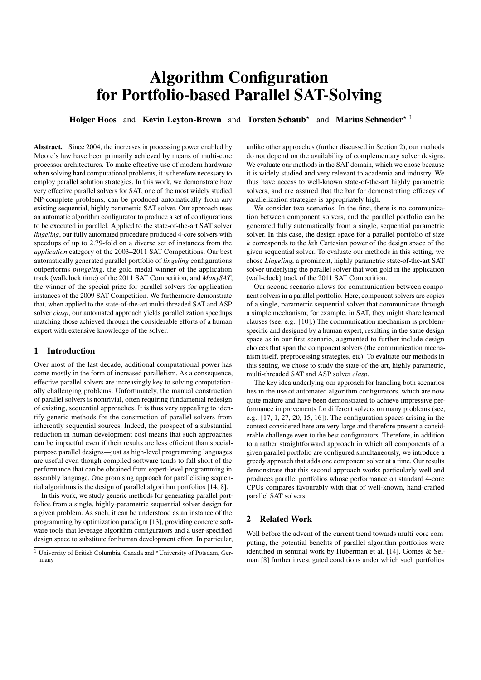# Algorithm Configuration for Portfolio-based Parallel SAT-Solving

Holger Hoos and Kevin Leyton-Brown and Torsten Schaub<sup>\*</sup> and Marius Schneider<sup>\* 1</sup>

Abstract. Since 2004, the increases in processing power enabled by Moore's law have been primarily achieved by means of multi-core processor architectures. To make effective use of modern hardware when solving hard computational problems, it is therefore necessary to employ parallel solution strategies. In this work, we demonstrate how very effective parallel solvers for SAT, one of the most widely studied NP-complete problems, can be produced automatically from any existing sequential, highly parametric SAT solver. Our approach uses an automatic algorithm configurator to produce a set of configurations to be executed in parallel. Applied to the state-of-the-art SAT solver *lingeling*, our fully automated procedure produced 4-core solvers with speedups of up to 2.79-fold on a diverse set of instances from the *application* category of the 2003–2011 SAT Competitions. Our best automatically generated parallel portfolio of *lingeling* configurations outperforms *plingeling*, the gold medal winner of the application track (wallclock time) of the 2011 SAT Competition, and *ManySAT*, the winner of the special prize for parallel solvers for application instances of the 2009 SAT Competition. We furthermore demonstrate that, when applied to the state-of-the-art multi-threaded SAT and ASP solver *clasp*, our automated approach yields parallelization speedups matching those achieved through the considerable efforts of a human expert with extensive knowledge of the solver.

### 1 Introduction

Over most of the last decade, additional computational power has come mostly in the form of increased parallelism. As a consequence, effective parallel solvers are increasingly key to solving computationally challenging problems. Unfortunately, the manual construction of parallel solvers is nontrivial, often requiring fundamental redesign of existing, sequential approaches. It is thus very appealing to identify generic methods for the construction of parallel solvers from inherently sequential sources. Indeed, the prospect of a substantial reduction in human development cost means that such approaches can be impactful even if their results are less efficient than specialpurpose parallel designs—just as high-level programming languages are useful even though compiled software tends to fall short of the performance that can be obtained from expert-level programming in assembly language. One promising approach for parallelizing sequential algorithms is the design of parallel algorithm portfolios [14, 8].

In this work, we study generic methods for generating parallel portfolios from a single, highly-parametric sequential solver design for a given problem. As such, it can be understood as an instance of the programming by optimization paradigm [13], providing concrete software tools that leverage algorithm configurators and a user-specified design space to substitute for human development effort. In particular,

unlike other approaches (further discussed in Section 2), our methods do not depend on the availability of complementary solver designs. We evaluate our methods in the SAT domain, which we chose because it is widely studied and very relevant to academia and industry. We thus have access to well-known state-of-the-art highly parametric solvers, and are assured that the bar for demonstrating efficacy of parallelization strategies is appropriately high.

We consider two scenarios. In the first, there is no communication between component solvers, and the parallel portfolio can be generated fully automatically from a single, sequential parametric solver. In this case, the design space for a parallel portfolio of size  $k$  corresponds to the  $k$ th Cartesian power of the design space of the given sequential solver. To evaluate our methods in this setting, we chose *Lingeling*, a prominent, highly parametric state-of-the-art SAT solver underlying the parallel solver that won gold in the application (wall-clock) track of the 2011 SAT Competition.

Our second scenario allows for communication between component solvers in a parallel portfolio. Here, component solvers are copies of a single, parametric sequential solver that communicate through a simple mechanism; for example, in SAT, they might share learned clauses (see, e.g., [10].) The communication mechanism is problemspecific and designed by a human expert, resulting in the same design space as in our first scenario, augmented to further include design choices that span the component solvers (the communication mechanism itself, preprocessing strategies, etc). To evaluate our methods in this setting, we chose to study the state-of-the-art, highly parametric, multi-threaded SAT and ASP solver *clasp*.

The key idea underlying our approach for handling both scenarios lies in the use of automated algorithm configurators, which are now quite mature and have been demonstrated to achieve impressive performance improvements for different solvers on many problems (see, e.g., [17, 1, 27, 20, 15, 16]). The configuration spaces arising in the context considered here are very large and therefore present a considerable challenge even to the best configurators. Therefore, in addition to a rather straightforward approach in which all components of a given parallel portfolio are configured simultaneously, we introduce a greedy approach that adds one component solver at a time. Our results demonstrate that this second approach works particularly well and produces parallel portfolios whose performance on standard 4-core CPUs compares favourably with that of well-known, hand-crafted parallel SAT solvers.

## 2 Related Work

Well before the advent of the current trend towards multi-core computing, the potential benefits of parallel algorithm portfolios were identified in seminal work by Huberman et al. [14]. Gomes & Selman [8] further investigated conditions under which such portfolios

<sup>&</sup>lt;sup>1</sup> University of British Columbia, Canada and \*University of Potsdam, Germany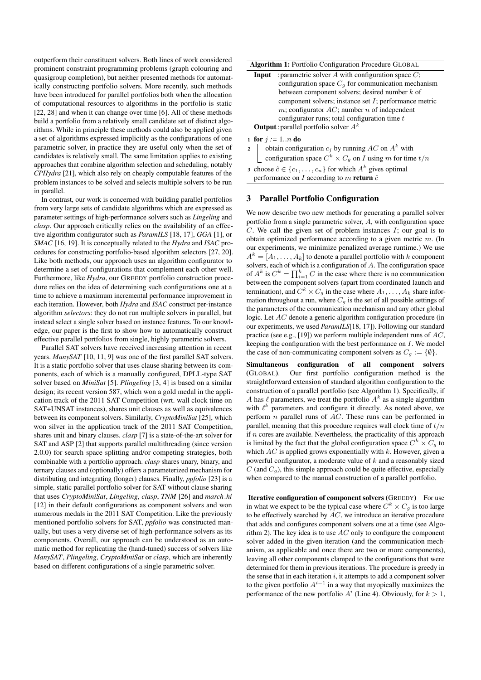outperform their constituent solvers. Both lines of work considered prominent constraint programming problems (graph colouring and quasigroup completion), but neither presented methods for automatically constructing portfolio solvers. More recently, such methods have been introduced for parallel portfolios both when the allocation of computational resources to algorithms in the portfolio is static [22, 28] and when it can change over time [6]. All of these methods build a portfolio from a relatively small candidate set of distinct algorithms. While in principle these methods could also be applied given a set of algorithms expressed implicitly as the configurations of one parametric solver, in practice they are useful only when the set of candidates is relatively small. The same limitation applies to existing approaches that combine algorithm selection and scheduling, notably *CPHydra* [21], which also rely on cheaply computable features of the problem instances to be solved and selects multiple solvers to be run in parallel.

In contrast, our work is concerned with building parallel portfolios from very large sets of candidate algorithms which are expressed as parameter settings of high-performance solvers such as *Lingeling* and *clasp*. Our approach critically relies on the availability of an effective algorithm configurator such as *ParamILS* [18, 17], *GGA* [1], or *SMAC* [16, 19]. It is conceptually related to the *Hydra* and *ISAC* procedures for constructing portfolio-based algorithm selectors [27, 20]. Like both methods, our approach uses an algorithm configurator to determine a set of configurations that complement each other well. Furthermore, like *Hydra*, our GREEDY portfolio construction procedure relies on the idea of determining such configurations one at a time to achieve a maximum incremental performance improvement in each iteration. However, both *Hydra* and *ISAC* construct per-instance algorithm *selectors*: they do not run multiple solvers in parallel, but instead select a single solver based on instance features. To our knowledge, our paper is the first to show how to automatically construct effective parallel portfolios from single, highly parametric solvers.

Parallel SAT solvers have received increasing attention in recent years. *ManySAT* [10, 11, 9] was one of the first parallel SAT solvers. It is a static portfolio solver that uses clause sharing between its components, each of which is a manually configured, DPLL-type SAT solver based on *MiniSat* [5]. *Plingeling* [3, 4] is based on a similar design; its recent version 587, which won a gold medal in the application track of the 2011 SAT Competition (wrt. wall clock time on SAT+UNSAT instances), shares unit clauses as well as equivalences between its component solvers. Similarly, *CryptoMiniSat* [25], which won silver in the application track of the 2011 SAT Competition, shares unit and binary clauses. *clasp* [7] is a state-of-the-art solver for SAT and ASP [2] that supports parallel multithreading (since version 2.0.0) for search space splitting and/or competing strategies, both combinable with a portfolio approach. *clasp* shares unary, binary, and ternary clauses and (optionally) offers a parameterized mechanism for distributing and integrating (longer) clauses. Finally, *ppfolio* [23] is a simple, static parallel portfolio solver for SAT without clause sharing that uses *CryptoMiniSat*, *Lingeling*, *clasp*, *TNM* [26] and *march hi* [12] in their default configurations as component solvers and won numerous medals in the 2011 SAT Competition. Like the previously mentioned portfolio solvers for SAT, *ppfolio* was constructed manually, but uses a very diverse set of high-performance solvers as its components. Overall, our approach can be understood as an automatic method for replicating the (hand-tuned) success of solvers like *ManySAT*, *Plingeling*, *CryptoMiniSat* or *clasp*, which are inherently based on different configurations of a single parametric solver.

#### Algorithm 1: Portfolio Configuration Procedure GLOBAL

**Input** : parametric solver  $A$  with configuration space  $C$ ; configuration space  $C_g$  for communication mechanism between component solvers; desired number k of component solvers; instance set I; performance metric  $m$ ; configurator  $AC$ ; number  $n$  of independent configurator runs; total configuration time  $t$ **Output**: parallel portfolio solver  $A^k$ 

1 for  $j := 1..n$  do

2 | obtain configuration  $c_j$  by running AC on  $A^k$  with configuration space  $C^k \times C_g$  on I using m for time  $t/n$ 

3 choose  $\hat{c} \in \{c_1, \ldots, c_n\}$  for which  $A^k$  gives optimal performance on I according to m return  $\hat{c}$ 

### 3 Parallel Portfolio Configuration

We now describe two new methods for generating a parallel solver portfolio from a single parametric solver, A, with configuration space  $C$ . We call the given set of problem instances  $I$ ; our goal is to obtain optimized performance according to a given metric  $m$ . (In our experiments, we minimize penalized average runtime.) We use  $A^k = [A_1, \ldots, A_k]$  to denote a parallel portfolio with k component solvers, each of which is a configuration of A. The configuration space of  $A^k$  is  $C^k = \prod_{i=1}^k C$  in the case where there is no communication between the component solvers (apart from coordinated launch and termination), and  $C^k \times C_g$  in the case where  $A_1, \ldots, A_k$  share information throughout a run, where  $C_g$  is the set of all possible settings of the parameters of the communication mechanism and any other global logic. Let AC denote a generic algorithm configuration procedure (in our experiments, we used *ParamILS*[18, 17]). Following our standard practice (see e.g., [19]) we perform multiple independent runs of  $AC$ , keeping the configuration with the best performance on  $I$ . We model the case of non-communicating component solvers as  $C_g := \{\emptyset\}.$ 

Simultaneous configuration of all component solvers (GLOBAL). Our first portfolio configuration method is the straightforward extension of standard algorithm configuration to the construction of a parallel portfolio (see Algorithm 1). Specifically, if A has  $\ell$  parameters, we treat the portfolio  $A^k$  as a single algorithm with  $\ell^k$  parameters and configure it directly. As noted above, we perform  $n$  parallel runs of  $AC$ . These runs can be performed in parallel, meaning that this procedure requires wall clock time of  $t/n$ if  $n$  cores are available. Nevertheless, the practicality of this approach is limited by the fact that the global configuration space  $C^k \times C_g$  to which  $AC$  is applied grows exponentially with  $k$ . However, given a powerful configurator, a moderate value of  $k$  and a reasonably sized  $C$  (and  $C_q$ ), this simple approach could be quite effective, especially when compared to the manual construction of a parallel portfolio.

Iterative configuration of component solvers (GREEDY) For use in what we expect to be the typical case where  $C^k \times C_g$  is too large to be effectively searched by AC, we introduce an iterative procedure that adds and configures component solvers one at a time (see Algorithm 2). The key idea is to use  $AC$  only to configure the component solver added in the given iteration (and the communication mechanism, as applicable and once there are two or more components), leaving all other components clamped to the configurations that were determined for them in previous iterations. The procedure is greedy in the sense that in each iteration  $i$ , it attempts to add a component solver to the given portfolio  $A^{i-1}$  in a way that myopically maximizes the performance of the new portfolio  $A^i$  (Line 4). Obviously, for  $k > 1$ ,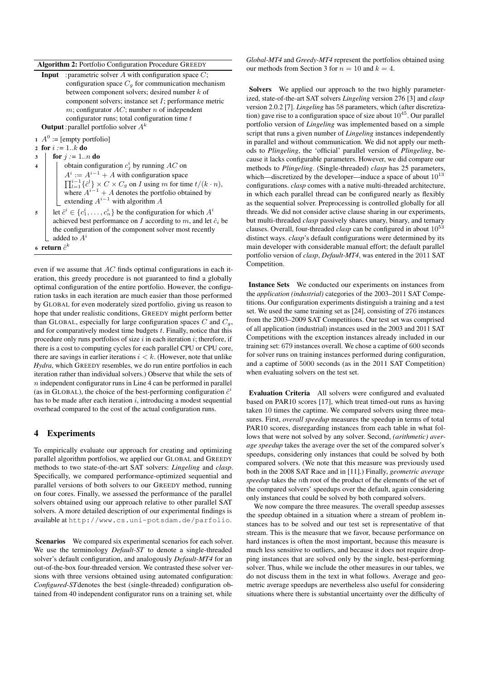#### Algorithm 2: Portfolio Configuration Procedure GREEDY

| <b>Input</b> : parametric solver A with configuration space $C$ ; |
|-------------------------------------------------------------------|
| configuration space $C_a$ for communication mechanism             |
| between component solvers; desired number $k$ of                  |
| component solvers; instance set $I$ ; performance metric          |
| m; configurator $AC$ ; number n of independent                    |
| configurator runs; total configuration time $t$                   |
| <b>Output</b> : parallel portfolio solver $A^k$                   |

- 1  $A^0$  := [empty portfolio]
- 2 for  $i := 1..k$  do
- 3  $\int$  for  $j := 1..n$  do
- 4 | | obtain configuration  $c_j^i$  by running AC on  $A^i := A^{i-1} + A$  with configuration space  $\prod_{l=1}^{i-1} {\hat{c}}^l$   $\times$   $C \times C_g$  on *I* using *m* for time  $t/(k \cdot n)$ , where  $A^{i-1}$  + A denotes the portfolio obtained by extending  $A^{i-1}$  with algorithm A
- $\mathfrak{s}$  let  $\hat{c}^i \in \{c_1^i, \dots, c_n^i\}$  be the configuration for which  $A^i$ achieved best performance on I according to  $m$ , and let  $\hat{c}_i$  be the configuration of the component solver most recently added to  $A^i$
- 6 return  $\hat{c}^k$

even if we assume that AC finds optimal configurations in each iteration, this greedy procedure is not guaranteed to find a globally optimal configuration of the entire portfolio. However, the configuration tasks in each iteration are much easier than those performed by GLOBAL for even moderately sized portfolio, giving us reason to hope that under realistic conditions, GREEDY might perform better than GLOBAL, especially for large configuration spaces  $C$  and  $C_q$ , and for comparatively modest time budgets  $t$ . Finally, notice that this procedure only runs portfolios of size  $i$  in each iteration  $i$ ; therefore, if there is a cost to computing cycles for each parallel CPU or CPU core, there are savings in earlier iterations  $i < k$ . (However, note that unlike *Hydra*, which GREEDY resembles, we do run entire portfolios in each iteration rather than individual solvers.) Observe that while the sets of  $n$  independent configurator runs in Line 4 can be performed in parallel (as in GLOBAL), the choice of the best-performing configuration  $\hat{c}^i$ has to be made after each iteration  $i$ , introducing a modest sequential overhead compared to the cost of the actual configuration runs.

### 4 Experiments

To empirically evaluate our approach for creating and optimizing parallel algorithm portfolios, we applied our GLOBAL and GREEDY methods to two state-of-the-art SAT solvers: *Lingeling* and *clasp*. Specifically, we compared performance-optimized sequential and parallel versions of both solvers to our GREEDY method, running on four cores. Finally, we assessed the performance of the parallel solvers obtained using our approach relative to other parallel SAT solvers. A more detailed description of our experimental findings is available at http://www.cs.uni-potsdam.de/parfolio.

Scenarios We compared six experimental scenarios for each solver. We use the terminology *Default-ST* to denote a single-threaded solver's default configuration, and analogously *Default-MT4* for an out-of-the-box four-threaded version. We contrasted these solver versions with three versions obtained using automated configuration: *Configured-ST*denotes the best (single-threaded) configuration obtained from 40 independent configurator runs on a training set, while

*Global-MT4* and *Greedy-MT4* represent the portfolios obtained using our methods from Section 3 for  $n = 10$  and  $k = 4$ .

Solvers We applied our approach to the two highly parameterized, state-of-the-art SAT solvers *Lingeling* version 276 [3] and *clasp* version 2.0.2 [7]. *Lingeling* has 58 parameters, which (after discretization) gave rise to a configuration space of size about  $10^{45}$ . Our parallel portfolio version of *Lingeling* was implemented based on a simple script that runs a given number of *Lingeling* instances independently in parallel and without communication. We did not apply our methods to *Plingeling*, the 'official' parallel version of *Plingeling*, because it lacks configurable parameters. However, we did compare our methods to *Plingeling*. (Single-threaded) *clasp* has 25 parameters, which—discretized by the developer—induce a space of about  $10^{13}$ configurations. *clasp* comes with a native multi-threaded architecture, in which each parallel thread can be configured nearly as flexibly as the sequential solver. Preprocessing is controlled globally for all threads. We did not consider active clause sharing in our experiments, but multi-threaded *clasp* passively shares unary, binary, and ternary clauses. Overall, four-threaded *clasp* can be configured in about  $10^{53}$ distinct ways. *clasp*'s default configurations were determined by its main developer with considerable manual effort; the default parallel portfolio version of *clasp*, *Default-MT4*, was entered in the 2011 SAT Competition.

Instance Sets We conducted our experiments on instances from the *application (industrial)* categories of the 2003–2011 SAT Competitions. Our configuration experiments distinguish a training and a test set. We used the same training set as [24], consisting of 276 instances from the 2003–2009 SAT Competitions. Our test set was comprised of all application (industrial) instances used in the 2003 and 2011 SAT Competitions with the exception instances already included in our training set: 679 instances overall. We chose a captime of 600 seconds for solver runs on training instances performed during configuration, and a captime of 5000 seconds (as in the 2011 SAT Competition) when evaluating solvers on the test set.

Evaluation Criteria All solvers were configured and evaluated based on PAR10 scores [17], which treat timed-out runs as having taken 10 times the captime. We compared solvers using three measures. First, *overall speedup* measures the speedup in terms of total PAR10 scores, disregarding instances from each table in what follows that were not solved by any solver. Second, *(arithmetic) average speedup* takes the average over the set of the compared solver's speedups, considering only instances that could be solved by both compared solvers. (We note that this measure was previously used both in the 2008 SAT Race and in [11].) Finally, *geometric average speedup* takes the nth root of the product of the elements of the set of the compared solvers' speedups over the default, again considering only instances that could be solved by both compared solvers.

We now compare the three measures. The overall speedup assesses the speedup obtained in a situation where a stream of problem instances has to be solved and our test set is representative of that stream. This is the measure that we favor, because performance on hard instances is often the most important, because this measure is much less sensitive to outliers, and because it does not require dropping instances that are solved only by the single, best-performing solver. Thus, while we include the other measures in our tables, we do not discuss them in the text in what follows. Average and geometric average speedups are nevertheless also useful for considering situations where there is substantial uncertainty over the difficulty of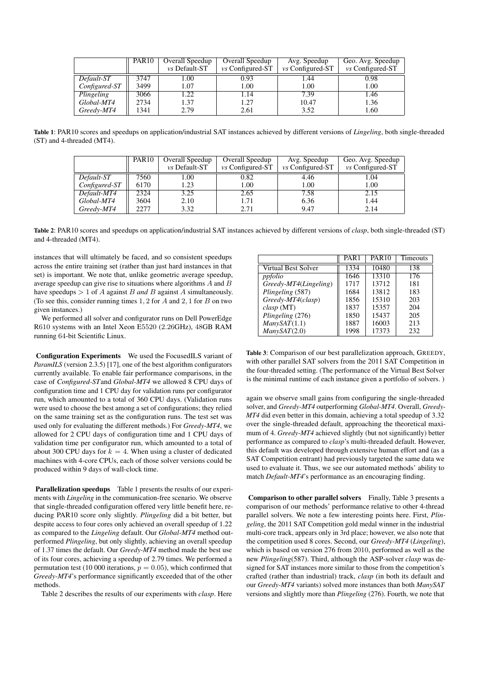|               | PAR <sub>10</sub> | Overall Speedup | Overall Speedup    | Avg. Speedup       | Geo. Avg. Speedup  |
|---------------|-------------------|-----------------|--------------------|--------------------|--------------------|
|               |                   | vs Default-ST   | $vs$ Configured-ST | $vs$ Configured-ST | $vs$ Configured-ST |
| Default-ST    | 3747              | .00             | 0.93               | 1.44               | 0.98               |
| Configured-ST | 3499              | l.07            | 1.00               | 1.00               | 1.00               |
| Plingeling    | 3066              | .22             | 1.14               | 7.39               | 1.46               |
| Global-MT4    | 2734              | 1.37            | 1.27               | 10.47              | 1.36               |
| Greedy-MT4    | 1341              | 2.79            | 2.61               | 3.52               | 1.60               |

Table 1: PAR10 scores and speedups on application/industrial SAT instances achieved by different versions of *Lingeling*, both single-threaded (ST) and 4-threaded (MT4).

|               | PAR <sub>10</sub> | Overall Speedup      | Overall Speedup    | Avg. Speedup       | Geo. Avg. Speedup  |
|---------------|-------------------|----------------------|--------------------|--------------------|--------------------|
|               |                   | <i>vs</i> Default-ST | $vs$ Configured-ST | $vs$ Configured-ST | $vs$ Configured-ST |
| Default-ST    | 7560              | L.00                 | 0.82               | 4.46               | 1.04               |
| Configured-ST | 6170              | 1.23                 | 1.00               | 1.00               | 1.00               |
| Default-MT4   | 2324              | 3.25                 | 2.65               | 7.58               | 2.15               |
| Global-MT4    | 3604              | 2.10                 | 1.71               | 6.36               | 1.44               |
| Greedy-MT4    | 2277              | 3.32                 | 2.71               | 9.47               | 2.14               |

Table 2: PAR10 scores and speedups on application/industrial SAT instances achieved by different versions of *clasp*, both single-threaded (ST) and 4-threaded (MT4).

instances that will ultimately be faced, and so consistent speedups across the entire training set (rather than just hard instances in that set) is important. We note that, unlike geometric average speedup, average speedup can give rise to situations where algorithms A and B have speedups > 1 of A against B *and* B against A simultaneously. (To see this, consider running times  $1, 2$  for  $A$  and  $2, 1$  for  $B$  on two given instances.)

We performed all solver and configurator runs on Dell PowerEdge R610 systems with an Intel Xeon E5520 (2.26GHz), 48GB RAM running 64-bit Scientific Linux.

Configuration Experiments We used the FocusedILS variant of *ParamILS* (version 2.3.5) [17], one of the best algorithm configurators currently available. To enable fair performance comparisons, in the case of *Configured-ST*and *Global-MT4* we allowed 8 CPU days of configuration time and 1 CPU day for validation runs per configurator run, which amounted to a total of 360 CPU days. (Validation runs were used to choose the best among a set of configurations; they relied on the same training set as the configuration runs. The test set was used only for evaluating the different methods.) For *Greedy-MT4*, we allowed for 2 CPU days of configuration time and 1 CPU days of validation time per configurator run, which amounted to a total of about 300 CPU days for  $k = 4$ . When using a cluster of dedicated machines with 4-core CPUs, each of those solver versions could be produced within 9 days of wall-clock time.

Parallelization speedups Table 1 presents the results of our experiments with *Lingeling* in the communication-free scenario. We observe that single-threaded configuration offered very little benefit here, reducing PAR10 score only slightly. *Plingeling* did a bit better, but despite access to four cores only achieved an overall speedup of 1.22 as compared to the *Lingeling* default. Our *Global-MT4* method outperformed *Plingeling*, but only slightly, achieving an overall speedup of 1.37 times the default. Our *Greedy-MT4* method made the best use of its four cores, achieving a speedup of 2.79 times. We performed a permutation test (10 000 iterations,  $p = 0.05$ ), which confirmed that *Greedy-MT4*'s performance significantly exceeded that of the other methods.

Table 2 describes the results of our experiments with *clasp*. Here

|                       | PAR <sub>1</sub> | <b>PAR10</b> | Timeouts |
|-----------------------|------------------|--------------|----------|
| Virtual Best Solver   | 1334             | 10480        | 138      |
| ppfolio               | 1646             | 13310        | 176      |
| Greedy-MT4(Lingeling) | 1717             | 13712        | 181      |
| Plingeling (587)      | 1684             | 13812        | 183      |
| Greedy-MT4(clasp)     | 1856             | 15310        | 203      |
| clasp(MT)             | 1837             | 15357        | 204      |
| Plingeling (276)      | 1850             | 15437        | 205      |
| ManvSAT(1.1)          | 1887             | 16003        | 213      |
| ManvSAT(2.0)          | 1998             | 17373        | 232      |

Table 3: Comparison of our best parallelization approach, GREEDY, with other parallel SAT solvers from the 2011 SAT Competition in the four-threaded setting. (The performance of the Virtual Best Solver is the minimal runtime of each instance given a portfolio of solvers. )

again we observe small gains from configuring the single-threaded solver, and *Greedy-MT4* outperforming *Global-MT4*. Overall, *Greedy-MT4* did even better in this domain, achieving a total speedup of 3.32 over the single-threaded default, approaching the theoretical maximum of 4. *Greedy-MT4* achieved slightly (but not significantly) better performance as compared to *clasp*'s multi-threaded default. However, this default was developed through extensive human effort and (as a SAT Competition entrant) had previously targeted the same data we used to evaluate it. Thus, we see our automated methods' ability to match *Default-MT4*'s performance as an encouraging finding.

Comparison to other parallel solvers Finally, Table 3 presents a comparison of our methods' performance relative to other 4-thread parallel solvers. We note a few interesting points here. First, *Plingeling*, the 2011 SAT Competition gold medal winner in the industrial multi-core track, appears only in 3rd place; however, we also note that the competition used 8 cores. Second, our *Greedy-MT4* (*Lingeling*), which is based on version 276 from 2010, performed as well as the new *Plingeling*(587). Third, although the ASP-solver *clasp* was designed for SAT instances more similar to those from the competition's crafted (rather than industrial) track, *clasp* (in both its default and our *Greedy-MT4* variants) solved more instances than both *ManySAT* versions and slightly more than *Plingeling* (276). Fourth, we note that